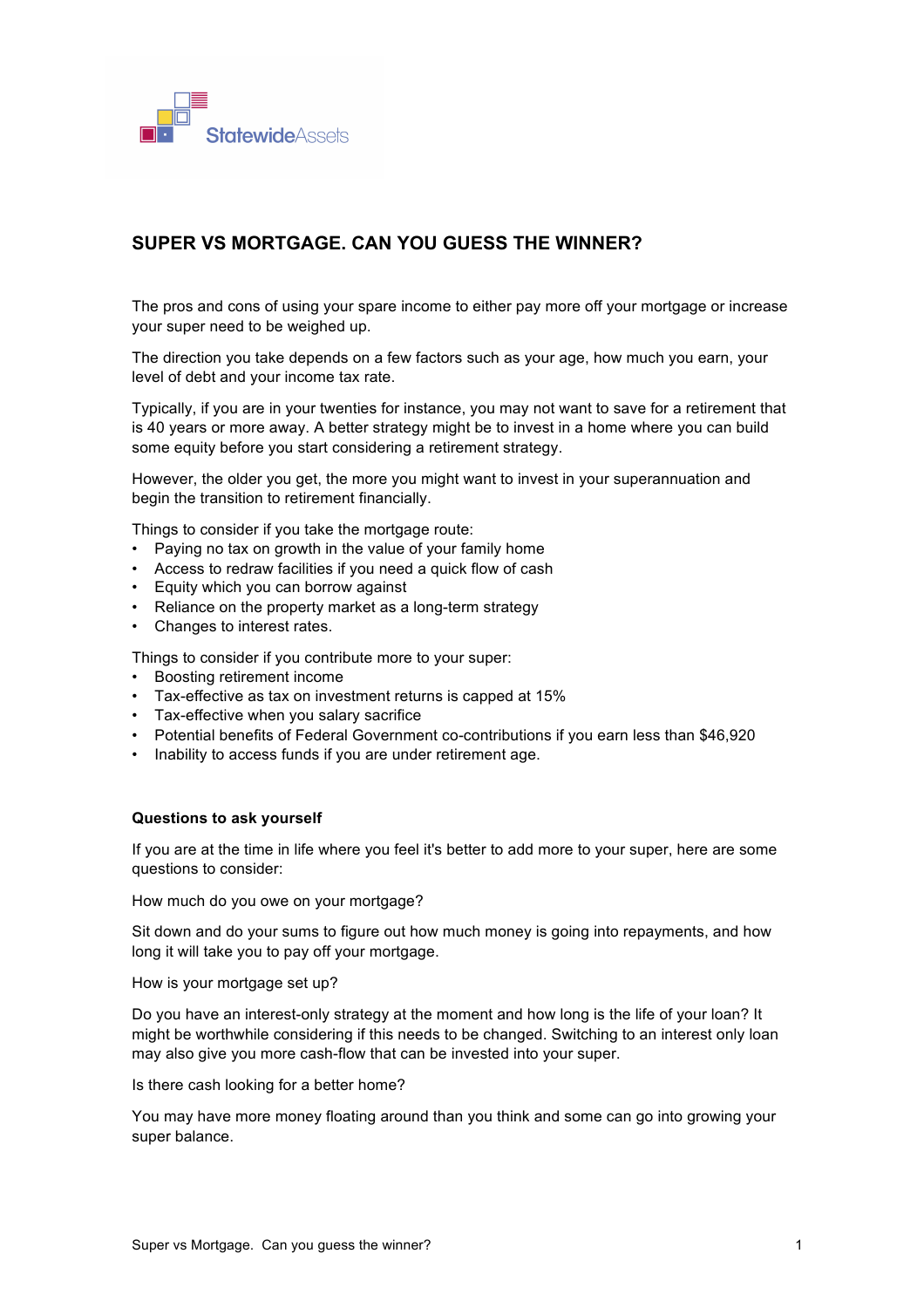

## **SUPER VS MORTGAGE. CAN YOU GUESS THE WINNER?**

The pros and cons of using your spare income to either pay more off your mortgage or increase your super need to be weighed up.

The direction you take depends on a few factors such as your age, how much you earn, your level of debt and your income tax rate.

Typically, if you are in your twenties for instance, you may not want to save for a retirement that is 40 years or more away. A better strategy might be to invest in a home where you can build some equity before you start considering a retirement strategy.

However, the older you get, the more you might want to invest in your superannuation and begin the transition to retirement financially.

Things to consider if you take the mortgage route:

- Paying no tax on growth in the value of your family home
- Access to redraw facilities if you need a quick flow of cash
- Equity which you can borrow against
- Reliance on the property market as a long-term strategy
- Changes to interest rates.

Things to consider if you contribute more to your super:

- Boosting retirement income
- Tax-effective as tax on investment returns is capped at 15%
- Tax-effective when you salary sacrifice
- Potential benefits of Federal Government co-contributions if you earn less than \$46,920
- Inability to access funds if you are under retirement age.

## **Questions to ask yourself**

If you are at the time in life where you feel it's better to add more to your super, here are some questions to consider:

How much do you owe on your mortgage?

Sit down and do your sums to figure out how much money is going into repayments, and how long it will take you to pay off your mortgage.

How is your mortgage set up?

Do you have an interest-only strategy at the moment and how long is the life of your loan? It might be worthwhile considering if this needs to be changed. Switching to an interest only loan may also give you more cash-flow that can be invested into your super.

Is there cash looking for a better home?

You may have more money floating around than you think and some can go into growing your super balance.